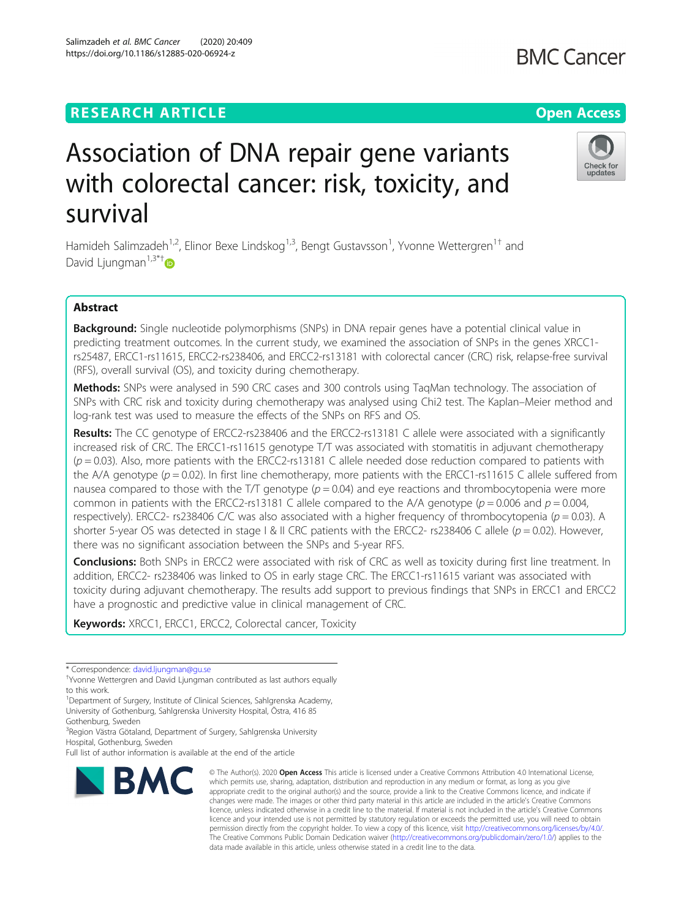## **RESEARCH ARTICLE Example 2014 12:30 The Contract of Contract ACCESS**

# Association of DNA repair gene variants with colorectal cancer: risk, toxicity, and survival

Hamideh Salimzadeh<sup>1,2</sup>, Elinor Bexe Lindskog<sup>1,3</sup>, Bengt Gustavsson<sup>1</sup>, Yvonne Wettergren<sup>1†</sup> and David Liungman<sup>1,3\*†</sup>

## Abstract

Background: Single nucleotide polymorphisms (SNPs) in DNA repair genes have a potential clinical value in predicting treatment outcomes. In the current study, we examined the association of SNPs in the genes XRCC1 rs25487, ERCC1-rs11615, ERCC2-rs238406, and ERCC2-rs13181 with colorectal cancer (CRC) risk, relapse-free survival (RFS), overall survival (OS), and toxicity during chemotherapy.

Methods: SNPs were analysed in 590 CRC cases and 300 controls using TagMan technology. The association of SNPs with CRC risk and toxicity during chemotherapy was analysed using Chi2 test. The Kaplan–Meier method and log-rank test was used to measure the effects of the SNPs on RFS and OS.

Results: The CC genotype of ERCC2-rs238406 and the ERCC2-rs13181 C allele were associated with a significantly increased risk of CRC. The ERCC1-rs11615 genotype T/T was associated with stomatitis in adjuvant chemotherapy  $(p = 0.03)$ . Also, more patients with the ERCC2-rs13181 C allele needed dose reduction compared to patients with the A/A genotype ( $p = 0.02$ ). In first line chemotherapy, more patients with the ERCC1-rs11615 C allele suffered from nausea compared to those with the T/T genotype  $(p = 0.04)$  and eye reactions and thrombocytopenia were more common in patients with the ERCC2-rs13181 C allele compared to the A/A genotype ( $p = 0.006$  and  $p = 0.004$ , respectively). ERCC2- rs238406 C/C was also associated with a higher frequency of thrombocytopenia ( $p = 0.03$ ). A shorter 5-year OS was detected in stage I & II CRC patients with the ERCC2- rs238406 C allele ( $p = 0.02$ ). However, there was no significant association between the SNPs and 5-year RFS.

**Conclusions:** Both SNPs in ERCC2 were associated with risk of CRC as well as toxicity during first line treatment. In addition, ERCC2- rs238406 was linked to OS in early stage CRC. The ERCC1-rs11615 variant was associated with toxicity during adjuvant chemotherapy. The results add support to previous findings that SNPs in ERCC1 and ERCC2 have a prognostic and predictive value in clinical management of CRC.

> © The Author(s), 2020 **Open Access** This article is licensed under a Creative Commons Attribution 4.0 International License, which permits use, sharing, adaptation, distribution and reproduction in any medium or format, as long as you give

Keywords: XRCC1, ERCC1, ERCC2, Colorectal cancer, Toxicity

3 Region Västra Götaland, Department of Surgery, Sahlgrenska University Hospital, Gothenburg, Sweden

data made available in this article, unless otherwise stated in a credit line to the data.







<sup>\*</sup> Correspondence: [david.ljungman@gu.se](mailto:david.ljungman@gu.se) †

Yvonne Wettergren and David Ljungman contributed as last authors equally to this work.

<sup>&</sup>lt;sup>1</sup>Department of Surgery, Institute of Clinical Sciences, Sahlgrenska Academy, University of Gothenburg, Sahlgrenska University Hospital, Östra, 416 85 Gothenburg, Sweden

Full list of author information is available at the end of the article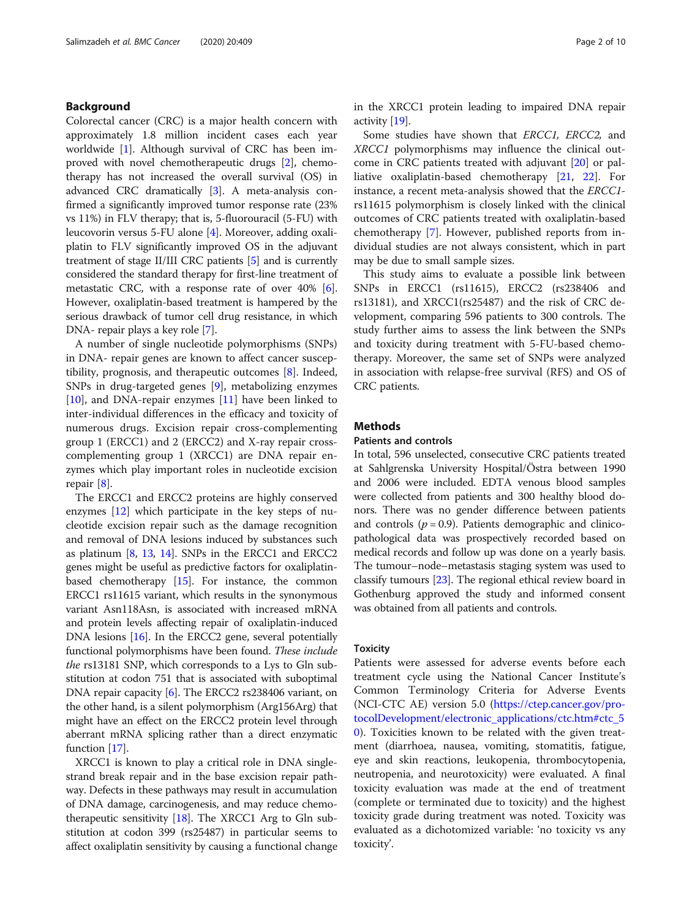## Background

Colorectal cancer (CRC) is a major health concern with approximately 1.8 million incident cases each year worldwide [\[1\]](#page-8-0). Although survival of CRC has been improved with novel chemotherapeutic drugs [\[2\]](#page-8-0), chemotherapy has not increased the overall survival (OS) in advanced CRC dramatically [\[3](#page-8-0)]. A meta-analysis confirmed a significantly improved tumor response rate (23% vs 11%) in FLV therapy; that is, 5-fluorouracil (5-FU) with leucovorin versus 5-FU alone [[4\]](#page-8-0). Moreover, adding oxaliplatin to FLV significantly improved OS in the adjuvant treatment of stage II/III CRC patients [[5\]](#page-8-0) and is currently considered the standard therapy for first-line treatment of metastatic CRC, with a response rate of over 40% [[6](#page-8-0)]. However, oxaliplatin-based treatment is hampered by the serious drawback of tumor cell drug resistance, in which DNA- repair plays a key role [[7\]](#page-8-0).

A number of single nucleotide polymorphisms (SNPs) in DNA- repair genes are known to affect cancer susceptibility, prognosis, and therapeutic outcomes [[8\]](#page-8-0). Indeed, SNPs in drug-targeted genes [[9\]](#page-8-0), metabolizing enzymes [[10\]](#page-8-0), and DNA-repair enzymes [[11\]](#page-8-0) have been linked to inter-individual differences in the efficacy and toxicity of numerous drugs. Excision repair cross-complementing group 1 (ERCC1) and 2 (ERCC2) and X-ray repair crosscomplementing group 1 (XRCC1) are DNA repair enzymes which play important roles in nucleotide excision repair [[8\]](#page-8-0).

The ERCC1 and ERCC2 proteins are highly conserved enzymes [[12\]](#page-8-0) which participate in the key steps of nucleotide excision repair such as the damage recognition and removal of DNA lesions induced by substances such as platinum  $[8, 13, 14]$  $[8, 13, 14]$  $[8, 13, 14]$  $[8, 13, 14]$  $[8, 13, 14]$  $[8, 13, 14]$ . SNPs in the ERCC1 and ERCC2 genes might be useful as predictive factors for oxaliplatinbased chemotherapy [\[15\]](#page-8-0). For instance, the common ERCC1 rs11615 variant, which results in the synonymous variant Asn118Asn, is associated with increased mRNA and protein levels affecting repair of oxaliplatin-induced DNA lesions [\[16\]](#page-8-0). In the ERCC2 gene, several potentially functional polymorphisms have been found. These include the rs13181 SNP, which corresponds to a Lys to Gln substitution at codon 751 that is associated with suboptimal DNA repair capacity [\[6\]](#page-8-0). The ERCC2 rs238406 variant, on the other hand, is a silent polymorphism (Arg156Arg) that might have an effect on the ERCC2 protein level through aberrant mRNA splicing rather than a direct enzymatic function [\[17\]](#page-8-0).

XRCC1 is known to play a critical role in DNA singlestrand break repair and in the base excision repair pathway. Defects in these pathways may result in accumulation of DNA damage, carcinogenesis, and may reduce chemotherapeutic sensitivity  $[18]$  $[18]$ . The XRCC1 Arg to Gln substitution at codon 399 (rs25487) in particular seems to affect oxaliplatin sensitivity by causing a functional change in the XRCC1 protein leading to impaired DNA repair activity [[19](#page-8-0)].

Some studies have shown that *ERCC1*, *ERCC2*, and XRCC1 polymorphisms may influence the clinical outcome in CRC patients treated with adjuvant [\[20](#page-8-0)] or palliative oxaliplatin-based chemotherapy [\[21](#page-8-0), [22\]](#page-8-0). For instance, a recent meta-analysis showed that the ERCC1 rs11615 polymorphism is closely linked with the clinical outcomes of CRC patients treated with oxaliplatin-based chemotherapy [[7\]](#page-8-0). However, published reports from individual studies are not always consistent, which in part may be due to small sample sizes.

This study aims to evaluate a possible link between SNPs in ERCC1 (rs11615), ERCC2 (rs238406 and rs13181), and XRCC1(rs25487) and the risk of CRC development, comparing 596 patients to 300 controls. The study further aims to assess the link between the SNPs and toxicity during treatment with 5-FU-based chemotherapy. Moreover, the same set of SNPs were analyzed in association with relapse-free survival (RFS) and OS of CRC patients.

## **Methods**

## Patients and controls

In total, 596 unselected, consecutive CRC patients treated at Sahlgrenska University Hospital/Östra between 1990 and 2006 were included. EDTA venous blood samples were collected from patients and 300 healthy blood donors. There was no gender difference between patients and controls  $(p = 0.9)$ . Patients demographic and clinicopathological data was prospectively recorded based on medical records and follow up was done on a yearly basis. The tumour–node–metastasis staging system was used to classify tumours [\[23](#page-8-0)]. The regional ethical review board in Gothenburg approved the study and informed consent was obtained from all patients and controls.

#### **Toxicity**

Patients were assessed for adverse events before each treatment cycle using the National Cancer Institute's Common Terminology Criteria for Adverse Events (NCI-CTC AE) version 5.0 ([https://ctep.cancer.gov/pro](https://ctep.cancer.gov/protocolDevelopment/electronic_applications/ctc.htm#ctc_50)[tocolDevelopment/electronic\\_applications/ctc.htm#ctc\\_5](https://ctep.cancer.gov/protocolDevelopment/electronic_applications/ctc.htm#ctc_50) [0\)](https://ctep.cancer.gov/protocolDevelopment/electronic_applications/ctc.htm#ctc_50). Toxicities known to be related with the given treatment (diarrhoea, nausea, vomiting, stomatitis, fatigue, eye and skin reactions, leukopenia, thrombocytopenia, neutropenia, and neurotoxicity) were evaluated. A final toxicity evaluation was made at the end of treatment (complete or terminated due to toxicity) and the highest toxicity grade during treatment was noted. Toxicity was evaluated as a dichotomized variable: 'no toxicity vs any toxicity'.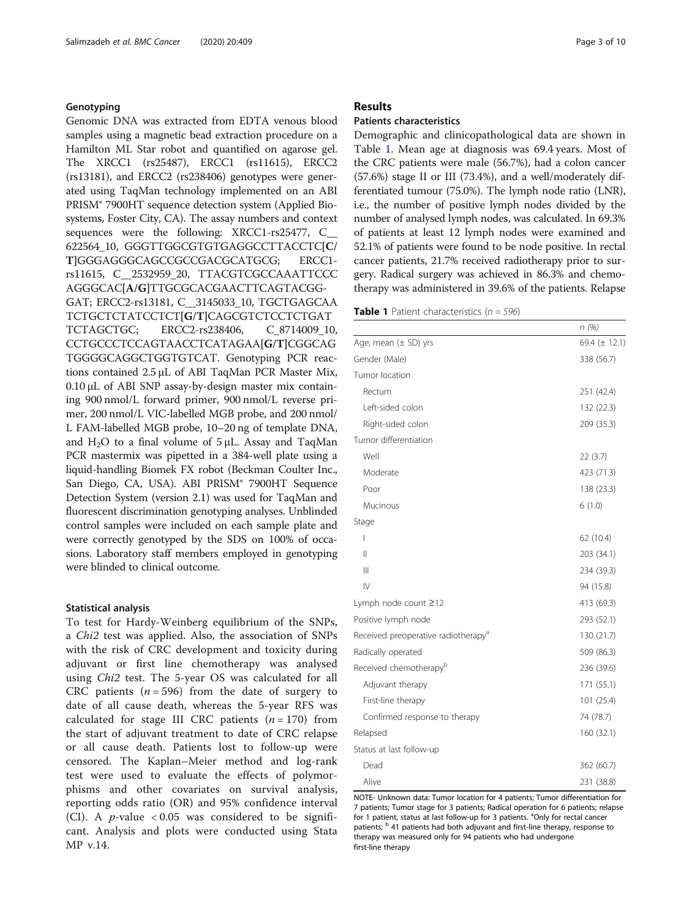## <span id="page-2-0"></span>Genotyping

Genomic DNA was extracted from EDTA venous blood samples using a magnetic bead extraction procedure on a Hamilton ML Star robot and quantified on agarose gel. The XRCC1 (rs25487), ERCC1 (rs11615), ERCC2 (rs13181), and ERCC2 (rs238406) genotypes were generated using TaqMan technology implemented on an ABI PRISM® 7900HT sequence detection system (Applied Biosystems, Foster City, CA). The assay numbers and context sequences were the following: XRCC1-rs25477, C\_ 622564\_10, GGGTTGGCGTGTGAGGCCTTACCTC[C/ T]GGGAGGGCAGCCGCCGACGCATGCG; ERCC1 rs11615, C\_\_2532959\_20, TTACGTCGCCAAATTCCC AGGGCAC[A/G]TTGCGCACGAACTTCAGTACGG-GAT; ERCC2-rs13181, C\_\_3145033\_10, TGCTGAGCAA TCTGCTCTATCCTCT[G/T]CAGCGTCTCCTCTGAT TCTAGCTGC; ERCC2-rs238406, C\_8714009\_10, CCTGCCCTCCAGTAACCTCATAGAA[G/T]CGGCAG TGGGGCAGGCTGGTGTCAT. Genotyping PCR reactions contained 2.5 μL of ABI TaqMan PCR Master Mix, 0.10 μL of ABI SNP assay-by-design master mix containing 900 nmol/L forward primer, 900 nmol/L reverse primer, 200 nmol/L VIC-labelled MGB probe, and 200 nmol/ L FAM-labelled MGB probe, 10–20 ng of template DNA, and  $H_2O$  to a final volume of 5 μL. Assay and TaqMan PCR mastermix was pipetted in a 384-well plate using a liquid-handling Biomek FX robot (Beckman Coulter Inc., San Diego, CA, USA). ABI PRISM® 7900HT Sequence Detection System (version 2.1) was used for TaqMan and fluorescent discrimination genotyping analyses. Unblinded control samples were included on each sample plate and were correctly genotyped by the SDS on 100% of occasions. Laboratory staff members employed in genotyping were blinded to clinical outcome.

#### Statistical analysis

To test for Hardy-Weinberg equilibrium of the SNPs, a Chi2 test was applied. Also, the association of SNPs with the risk of CRC development and toxicity during adjuvant or first line chemotherapy was analysed using Chi2 test. The 5-year OS was calculated for all CRC patients ( $n = 596$ ) from the date of surgery to date of all cause death, whereas the 5-year RFS was calculated for stage III CRC patients  $(n = 170)$  from the start of adjuvant treatment to date of CRC relapse or all cause death. Patients lost to follow-up were censored. The Kaplan–Meier method and log-rank test were used to evaluate the effects of polymorphisms and other covariates on survival analysis, reporting odds ratio (OR) and 95% confidence interval (CI). A *p*-value  $< 0.05$  was considered to be significant. Analysis and plots were conducted using Stata MP v.14.

#### Results

#### Patients characteristics

Demographic and clinicopathological data are shown in Table 1. Mean age at diagnosis was 69.4 years. Most of the CRC patients were male (56.7%), had a colon cancer (57.6%) stage II or III (73.4%), and a well/moderately differentiated tumour (75.0%). The lymph node ratio (LNR), i.e., the number of positive lymph nodes divided by the number of analysed lymph nodes, was calculated. In 69.3% of patients at least 12 lymph nodes were examined and 52.1% of patients were found to be node positive. In rectal cancer patients, 21.7% received radiotherapy prior to surgery. Radical surgery was achieved in 86.3% and chemotherapy was administered in 39.6% of the patients. Relapse

**Table 1** Patient characteristics  $(n = 596)$ 

|                                                 | n(%)               |
|-------------------------------------------------|--------------------|
| Age, mean $(\pm$ SD) yrs                        | 69.4 ( $\pm$ 12.1) |
| Gender (Male)                                   | 338 (56.7)         |
| Tumor location                                  |                    |
| Rectum                                          | 251 (42.4)         |
| Left-sided colon                                | 132 (22.3)         |
| Right-sided colon                               | 209 (35.3)         |
| Tumor differentiation                           |                    |
| Well                                            | 22(3.7)            |
| Moderate                                        | 423 (71.3)         |
| Poor                                            | 138 (23.3)         |
| Mucinous                                        | 6(1.0)             |
| Stage                                           |                    |
| $\overline{1}$                                  | 62 (10.4)          |
| Ш                                               | 203 (34.1)         |
| $\mathbb{H}$                                    | 234 (39.3)         |
| IV                                              | 94 (15.8)          |
| Lymph node count ≥12                            | 413 (69.3)         |
| Positive lymph node                             | 293 (52.1)         |
| Received preoperative radiotherapy <sup>a</sup> | 130 (21.7)         |
| Radically operated                              | 509 (86.3)         |
| Received chemotherapy <sup>b</sup>              | 236 (39.6)         |
| Adjuvant therapy                                | 171 (55.1)         |
| First-line therapy                              | 101 (25.4)         |
| Confirmed response to therapy                   | 74 (78.7)          |
| Relapsed                                        | 160 (32.1)         |
| Status at last follow-up                        |                    |
| Dead                                            | 362 (60.7)         |
| Alive                                           | 231 (38.8)         |

NOTE- Unknown data: Tumor location for 4 patients; Tumor differentiation for 7 patients; Tumor stage for 3 patients; Radical operation for 6 patients; relapse for 1 patient, status at last follow-up for 3 patients. <sup>a</sup>Only for rectal cancer patients; <sup>b</sup> 41 patients had both adjuvant and first-line therapy, response to therapy was measured only for 94 patients who had undergone first-line therapy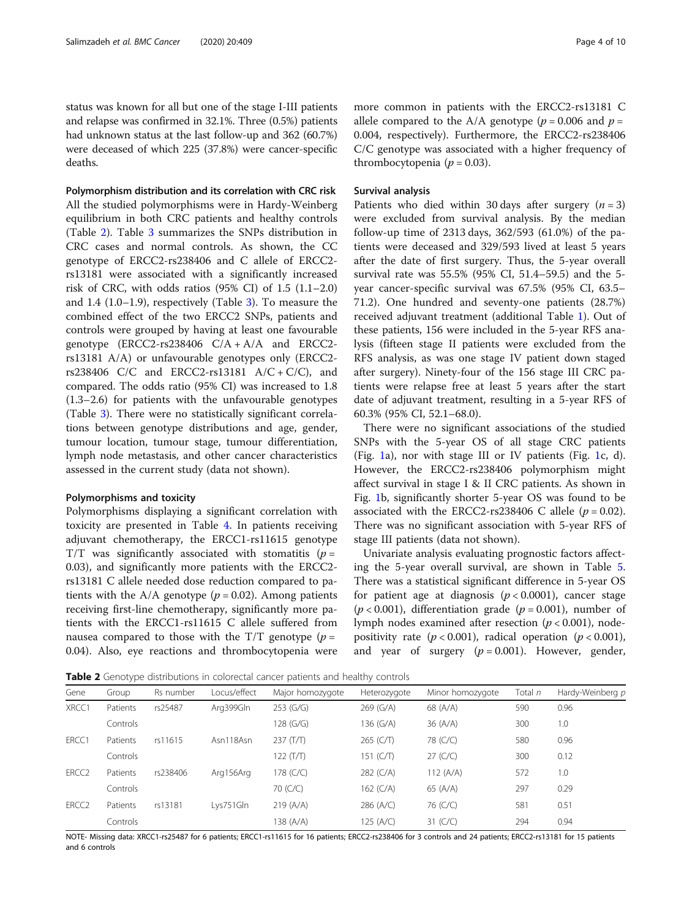status was known for all but one of the stage I-III patients and relapse was confirmed in 32.1%. Three (0.5%) patients had unknown status at the last follow-up and 362 (60.7%) were deceased of which 225 (37.8%) were cancer-specific deaths.

Polymorphism distribution and its correlation with CRC risk

All the studied polymorphisms were in Hardy-Weinberg equilibrium in both CRC patients and healthy controls (Table 2). Table [3](#page-4-0) summarizes the SNPs distribution in CRC cases and normal controls. As shown, the CC genotype of ERCC2-rs238406 and C allele of ERCC2 rs13181 were associated with a significantly increased risk of CRC, with odds ratios  $(95\% \text{ CI})$  of 1.5  $(1.1-2.0)$ and 1.4 (1.0–1.9), respectively (Table [3\)](#page-4-0). To measure the combined effect of the two ERCC2 SNPs, patients and controls were grouped by having at least one favourable genotype  $(ERCC2-rs238406 C/A + A/A$  and  $ERCC2$ rs13181 A/A) or unfavourable genotypes only (ERCC2 rs238406 C/C and ERCC2-rs13181  $A/C + C/C$ ), and compared. The odds ratio (95% CI) was increased to 1.8 (1.3–2.6) for patients with the unfavourable genotypes (Table [3](#page-4-0)). There were no statistically significant correlations between genotype distributions and age, gender, tumour location, tumour stage, tumour differentiation, lymph node metastasis, and other cancer characteristics assessed in the current study (data not shown).

#### Polymorphisms and toxicity

Polymorphisms displaying a significant correlation with toxicity are presented in Table [4](#page-4-0). In patients receiving adjuvant chemotherapy, the ERCC1-rs11615 genotype  $T/T$  was significantly associated with stomatitis ( $p =$ 0.03), and significantly more patients with the ERCC2 rs13181 C allele needed dose reduction compared to patients with the A/A genotype ( $p = 0.02$ ). Among patients receiving first-line chemotherapy, significantly more patients with the ERCC1-rs11615 C allele suffered from nausea compared to those with the  $T/T$  genotype ( $p =$ 0.04). Also, eye reactions and thrombocytopenia were more common in patients with the ERCC2-rs13181 C allele compared to the A/A genotype ( $p = 0.006$  and  $p =$ 0.004, respectively). Furthermore, the ERCC2-rs238406 C/C genotype was associated with a higher frequency of thrombocytopenia ( $p = 0.03$ ).

#### Survival analysis

Patients who died within 30 days after surgery  $(n = 3)$ were excluded from survival analysis. By the median follow-up time of 2313 days, 362/593 (61.0%) of the patients were deceased and 329/593 lived at least 5 years after the date of first surgery. Thus, the 5-year overall survival rate was 55.5% (95% CI, 51.4–59.5) and the 5 year cancer-specific survival was 67.5% (95% CI, 63.5– 71.2). One hundred and seventy-one patients (28.7%) received adjuvant treatment (additional Table [1](#page-2-0)). Out of these patients, 156 were included in the 5-year RFS analysis (fifteen stage II patients were excluded from the RFS analysis, as was one stage IV patient down staged after surgery). Ninety-four of the 156 stage III CRC patients were relapse free at least 5 years after the start date of adjuvant treatment, resulting in a 5-year RFS of 60.3% (95% CI, 52.1–68.0).

There were no significant associations of the studied SNPs with the 5-year OS of all stage CRC patients (Fig. [1a](#page-5-0)), nor with stage III or IV patients (Fig. [1](#page-5-0)c, d). However, the ERCC2-rs238406 polymorphism might affect survival in stage I & II CRC patients. As shown in Fig. [1b](#page-5-0), significantly shorter 5-year OS was found to be associated with the ERCC2-rs238406 C allele ( $p = 0.02$ ). There was no significant association with 5-year RFS of stage III patients (data not shown).

Univariate analysis evaluating prognostic factors affecting the 5-year overall survival, are shown in Table [5](#page-6-0). There was a statistical significant difference in 5-year OS for patient age at diagnosis  $(p < 0.0001)$ , cancer stage  $(p < 0.001)$ , differentiation grade  $(p = 0.001)$ , number of lymph nodes examined after resection ( $p < 0.001$ ), nodepositivity rate ( $p < 0.001$ ), radical operation ( $p < 0.001$ ), and year of surgery  $(p = 0.001)$ . However, gender,

Table 2 Genotype distributions in colorectal cancer patients and healthy controls

| Gene              | Group    | Rs number | Locus/effect | Major homozygote | Heterozygote | Minor homozygote | Total n | Hardy-Weinberg p |
|-------------------|----------|-----------|--------------|------------------|--------------|------------------|---------|------------------|
| XRCC1             | Patients | rs25487   | Arg399Gln    | $253$ (G/G)      | 269 (G/A)    | 68 (A/A)         | 590     | 0.96             |
|                   | Controls |           |              | 128 (G/G)        | 136 $(G/A)$  | 36(A/A)          | 300     | 1.0              |
| ERCC1             | Patients | rs11615   | Asn118Asn    | $237$ (T/T)      | 265 (C/T)    | 78 (C/C)         | 580     | 0.96             |
|                   | Controls |           |              | 122 (T/T)        | 151 (C/T)    | $27$ (C/C)       | 300     | 0.12             |
| ERCC <sub>2</sub> | Patients | rs238406  | Arg156Arg    | 178 (C/C)        | $282$ (C/A)  | 112 (A/A)        | 572     | 1.0              |
|                   | Controls |           |              | 70 (C/C)         | 162 $(C/A)$  | 65 (A/A)         | 297     | 0.29             |
| ERCC <sub>2</sub> | Patients | rs13181   | Lys751Gln    | 219 (A/A)        | 286 (A/C)    | 76 (C/C)         | 581     | 0.51             |
|                   | Controls |           |              | 138 (A/A)        | 125 (A/C)    | 31 $(C/C)$       | 294     | 0.94             |

NOTE- Missing data: XRCC1-rs25487 for 6 patients; ERCC1-rs11615 for 16 patients; ERCC2-rs238406 for 3 controls and 24 patients; ERCC2-rs13181 for 15 patients and 6 controls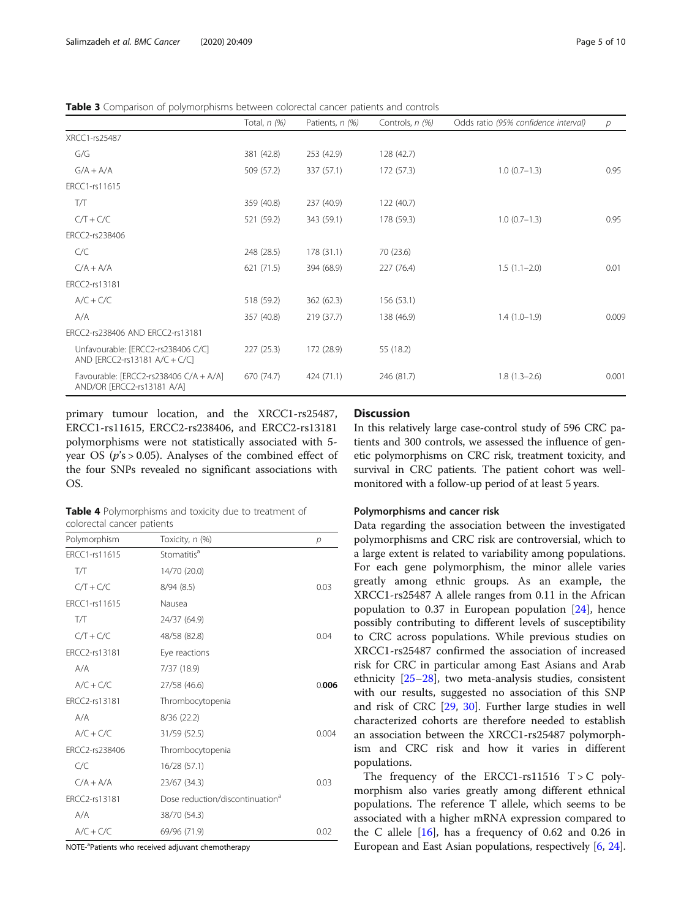<span id="page-4-0"></span>Table 3 Comparison of polymorphisms between colorectal cancer patients and controls

|                                                                      | Total, $n$ (%) | Patients, n (%) | Controls, n (%) | Odds ratio (95% confidence interval) | р     |
|----------------------------------------------------------------------|----------------|-----------------|-----------------|--------------------------------------|-------|
| XRCC1-rs25487                                                        |                |                 |                 |                                      |       |
| G/G                                                                  | 381 (42.8)     | 253 (42.9)      | 128 (42.7)      |                                      |       |
| $G/A + A/A$                                                          | 509 (57.2)     | 337 (57.1)      | 172 (57.3)      | $1.0(0.7-1.3)$                       | 0.95  |
| ERCC1-rs11615                                                        |                |                 |                 |                                      |       |
| T/Т                                                                  | 359 (40.8)     | 237 (40.9)      | 122 (40.7)      |                                      |       |
| $C/T + C/C$                                                          | 521 (59.2)     | 343 (59.1)      | 178 (59.3)      | $1.0(0.7-1.3)$                       | 0.95  |
| ERCC2-rs238406                                                       |                |                 |                 |                                      |       |
| C/C                                                                  | 248 (28.5)     | 178 (31.1)      | 70 (23.6)       |                                      |       |
| $C/A + A/A$                                                          | 621 (71.5)     | 394 (68.9)      | 227 (76.4)      | $1.5(1.1-2.0)$                       | 0.01  |
| ERCC2-rs13181                                                        |                |                 |                 |                                      |       |
| $A/C + C/C$                                                          | 518 (59.2)     | 362 (62.3)      | 156 (53.1)      |                                      |       |
| A/A                                                                  | 357 (40.8)     | 219(37.7)       | 138 (46.9)      | $1.4(1.0-1.9)$                       | 0.009 |
| ERCC2-rs238406 AND ERCC2-rs13181                                     |                |                 |                 |                                      |       |
| Unfavourable: [ERCC2-rs238406 C/C]<br>AND [ERCC2-rs13181 A/C + C/C]  | 227 (25.3)     | 172 (28.9)      | 55 (18.2)       |                                      |       |
| Favourable: [ERCC2-rs238406 C/A + A/A]<br>AND/OR [ERCC2-rs13181 A/A] | 670 (74.7)     | 424 (71.1)      | 246 (81.7)      | $1.8(1.3-2.6)$                       | 0.001 |

primary tumour location, and the XRCC1-rs25487, ERCC1-rs11615, ERCC2-rs238406, and ERCC2-rs13181 polymorphisms were not statistically associated with 5 year OS ( $p's > 0.05$ ). Analyses of the combined effect of the four SNPs revealed no significant associations with OS.

Table 4 Polymorphisms and toxicity due to treatment of colorectal cancer patients

| Polymorphism   | Toxicity, n (%)                             | р     |
|----------------|---------------------------------------------|-------|
| FRCC1-rs11615  | Stomatitis <sup>a</sup>                     |       |
| ТЛ             | 14/70 (20.0)                                |       |
| $C/T + C/C$    | 8/94(8.5)                                   | 0.03  |
| FRCC1-rs11615  | Nausea                                      |       |
| TЛ             | 24/37 (64.9)                                |       |
| $C/T + C/C$    | 48/58 (82.8)                                | 0.04  |
| ERCC2-rs13181  | Eye reactions                               |       |
| A/A            | 7/37 (18.9)                                 |       |
| $A/C + C/C$    | 27/58 (46.6)                                | 0.006 |
| ERCC2-rs13181  | Thrombocytopenia                            |       |
| A/A            | 8/36(22.2)                                  |       |
| $A/C + C/C$    | 31/59 (52.5)                                | 0.004 |
| FRCC2-rs238406 | Thrombocytopenia                            |       |
| C/C            | 16/28 (57.1)                                |       |
| $C/A + A/A$    | 23/67 (34.3)                                | 0.03  |
| ERCC2-rs13181  | Dose reduction/discontinuation <sup>a</sup> |       |
| A/A            | 38/70 (54.3)                                |       |
| $A/C + C/C$    | 69/96 (71.9)                                | 0.02  |

NOTE-<sup>a</sup>Patients who received adjuvant chemotherapy

## **Discussion**

In this relatively large case-control study of 596 CRC patients and 300 controls, we assessed the influence of genetic polymorphisms on CRC risk, treatment toxicity, and survival in CRC patients. The patient cohort was wellmonitored with a follow-up period of at least 5 years.

#### Polymorphisms and cancer risk

Data regarding the association between the investigated polymorphisms and CRC risk are controversial, which to a large extent is related to variability among populations. For each gene polymorphism, the minor allele varies greatly among ethnic groups. As an example, the XRCC1-rs25487 A allele ranges from 0.11 in the African population to 0.37 in European population [\[24\]](#page-9-0), hence possibly contributing to different levels of susceptibility to CRC across populations. While previous studies on XRCC1-rs25487 confirmed the association of increased risk for CRC in particular among East Asians and Arab ethnicity [[25](#page-9-0)–[28](#page-9-0)], two meta-analysis studies, consistent with our results, suggested no association of this SNP and risk of CRC [[29](#page-9-0), [30\]](#page-9-0). Further large studies in well characterized cohorts are therefore needed to establish an association between the XRCC1-rs25487 polymorphism and CRC risk and how it varies in different populations.

The frequency of the ERCC1-rs11516  $T > C$  polymorphism also varies greatly among different ethnical populations. The reference T allele, which seems to be associated with a higher mRNA expression compared to the C allele  $[16]$  $[16]$  $[16]$ , has a frequency of 0.62 and 0.26 in European and East Asian populations, respectively [[6,](#page-8-0) [24](#page-9-0)].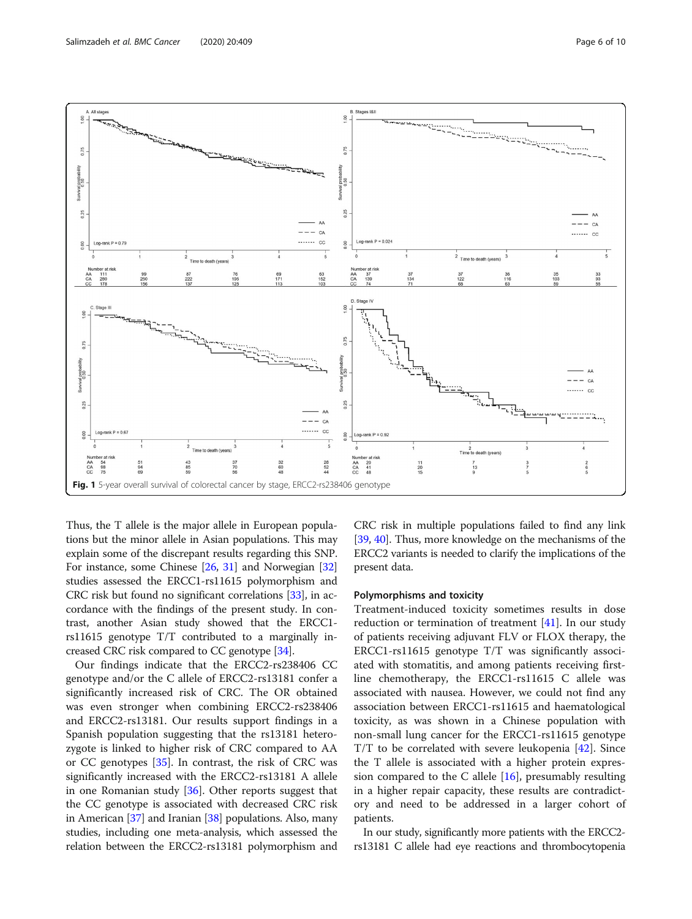

<span id="page-5-0"></span>

Thus, the T allele is the major allele in European populations but the minor allele in Asian populations. This may explain some of the discrepant results regarding this SNP. For instance, some Chinese [\[26](#page-9-0), [31\]](#page-9-0) and Norwegian [[32](#page-9-0)] studies assessed the ERCC1-rs11615 polymorphism and CRC risk but found no significant correlations [[33](#page-9-0)], in accordance with the findings of the present study. In contrast, another Asian study showed that the ERCC1 rs11615 genotype T/T contributed to a marginally increased CRC risk compared to CC genotype [[34](#page-9-0)].

Our findings indicate that the ERCC2-rs238406 CC genotype and/or the C allele of ERCC2-rs13181 confer a significantly increased risk of CRC. The OR obtained was even stronger when combining ERCC2-rs238406 and ERCC2-rs13181. Our results support findings in a Spanish population suggesting that the rs13181 heterozygote is linked to higher risk of CRC compared to AA or CC genotypes [\[35](#page-9-0)]. In contrast, the risk of CRC was significantly increased with the ERCC2-rs13181 A allele in one Romanian study [\[36\]](#page-9-0). Other reports suggest that the CC genotype is associated with decreased CRC risk in American [\[37\]](#page-9-0) and Iranian [[38\]](#page-9-0) populations. Also, many studies, including one meta-analysis, which assessed the relation between the ERCC2-rs13181 polymorphism and

CRC risk in multiple populations failed to find any link [[39](#page-9-0), [40\]](#page-9-0). Thus, more knowledge on the mechanisms of the ERCC2 variants is needed to clarify the implications of the present data.

#### Polymorphisms and toxicity

Treatment-induced toxicity sometimes results in dose reduction or termination of treatment [[41\]](#page-9-0). In our study of patients receiving adjuvant FLV or FLOX therapy, the ERCC1-rs11615 genotype T/T was significantly associated with stomatitis, and among patients receiving firstline chemotherapy, the ERCC1-rs11615 C allele was associated with nausea. However, we could not find any association between ERCC1-rs11615 and haematological toxicity, as was shown in a Chinese population with non-small lung cancer for the ERCC1-rs11615 genotype  $T/T$  to be correlated with severe leukopenia [[42\]](#page-9-0). Since the T allele is associated with a higher protein expression compared to the C allele  $[16]$ , presumably resulting in a higher repair capacity, these results are contradictory and need to be addressed in a larger cohort of patients.

In our study, significantly more patients with the ERCC2 rs13181 C allele had eye reactions and thrombocytopenia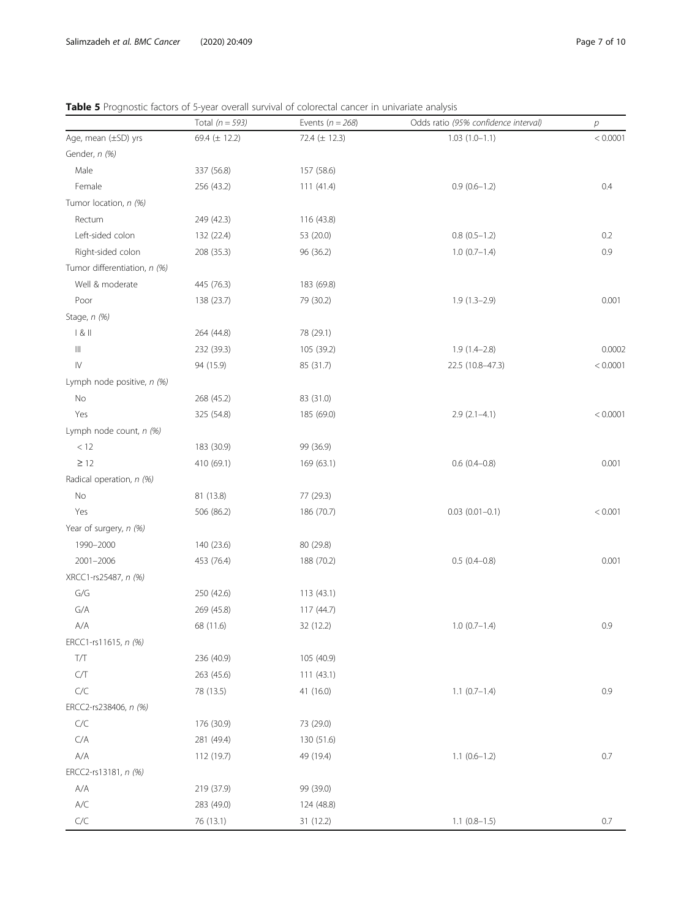|                                    | Total $(n = 593)$ | Events ( $n = 268$ ) | Odds ratio (95% confidence interval) | $\boldsymbol{p}$ |
|------------------------------------|-------------------|----------------------|--------------------------------------|------------------|
| Age, mean (±SD) yrs                | 69.4 (± 12.2)     | 72.4 (± 12.3)        | $1.03(1.0-1.1)$                      | < 0.0001         |
| Gender, n (%)                      |                   |                      |                                      |                  |
| Male                               | 337 (56.8)        | 157 (58.6)           |                                      |                  |
| Female                             | 256 (43.2)        | 111(41.4)            | $0.9(0.6-1.2)$                       | 0.4              |
| Tumor location, n (%)              |                   |                      |                                      |                  |
| Rectum                             | 249 (42.3)        | 116 (43.8)           |                                      |                  |
| Left-sided colon                   | 132 (22.4)        | 53 (20.0)            | $0.8$ $(0.5-1.2)$                    | 0.2              |
| Right-sided colon                  | 208 (35.3)        | 96 (36.2)            | $1.0(0.7-1.4)$                       | 0.9              |
| Tumor differentiation, n (%)       |                   |                      |                                      |                  |
| Well & moderate                    | 445 (76.3)        | 183 (69.8)           |                                      |                  |
| Poor                               | 138 (23.7)        | 79 (30.2)            | $1.9(1.3-2.9)$                       | 0.001            |
| Stage, n (%)                       |                   |                      |                                      |                  |
| & 8                                | 264 (44.8)        | 78 (29.1)            |                                      |                  |
| $\ensuremath{\mathsf{III}}\xspace$ | 232 (39.3)        | 105 (39.2)           | $1.9(1.4-2.8)$                       | 0.0002           |
| ${\sf IV}$                         | 94 (15.9)         | 85 (31.7)            | 22.5 (10.8-47.3)                     | < 0.0001         |
| Lymph node positive, n (%)         |                   |                      |                                      |                  |
| No                                 | 268 (45.2)        | 83 (31.0)            |                                      |                  |
| Yes                                | 325 (54.8)        | 185 (69.0)           | $2.9(2.1-4.1)$                       | < 0.0001         |
| Lymph node count, n (%)            |                   |                      |                                      |                  |
| $<12\,$                            | 183 (30.9)        | 99 (36.9)            |                                      |                  |
| $\geq$ 12                          | 410 (69.1)        | 169 (63.1)           | $0.6(0.4-0.8)$                       | 0.001            |
| Radical operation, n (%)           |                   |                      |                                      |                  |
| $\rm No$                           | 81 (13.8)         | 77 (29.3)            |                                      |                  |
| Yes                                | 506 (86.2)        | 186 (70.7)           | $0.03$ $(0.01 - 0.1)$                | < 0.001          |
| Year of surgery, n (%)             |                   |                      |                                      |                  |
| 1990-2000                          | 140 (23.6)        | 80 (29.8)            |                                      |                  |
| 2001-2006                          | 453 (76.4)        | 188 (70.2)           | $0.5(0.4 - 0.8)$                     | 0.001            |
| XRCC1-rs25487, n (%)               |                   |                      |                                      |                  |
| $\mathsf{G}/\mathsf{G}$            | 250 (42.6)        | 113(43.1)            |                                      |                  |
| G/A                                | 269 (45.8)        | 117 (44.7)           |                                      |                  |
| $\mathsf{A}/\mathsf{A}$            | 68 (11.6)         | 32 (12.2)            | $1.0 (0.7 - 1.4)$                    | 0.9              |
| ERCC1-rs11615, n (%)               |                   |                      |                                      |                  |
| $T/T$                              | 236 (40.9)        | 105 (40.9)           |                                      |                  |
| $\mathsf{C}/\mathsf{T}$            | 263 (45.6)        | 111(43.1)            |                                      |                  |
| $C/C$                              | 78 (13.5)         | 41 (16.0)            | $1.1 (0.7 - 1.4)$                    | 0.9              |
| ERCC2-rs238406, n (%)              |                   |                      |                                      |                  |
| C/C                                | 176 (30.9)        | 73 (29.0)            |                                      |                  |
| $\mathsf{C}/\mathsf{A}$            | 281 (49.4)        | 130 (51.6)           |                                      |                  |
| $\mathsf{A}/\mathsf{A}$            | 112 (19.7)        | 49 (19.4)            | $1.1 (0.6 - 1.2)$                    | $0.7\,$          |
| ERCC2-rs13181, n (%)               |                   |                      |                                      |                  |
| A/A                                | 219 (37.9)        | 99 (39.0)            |                                      |                  |
| $\mathsf{A}/\mathsf{C}$            | 283 (49.0)        | 124 (48.8)           |                                      |                  |
| $C/C$                              | 76 (13.1)         | 31 (12.2)            | $1.1$ $(0.8-1.5)$                    | 0.7              |

<span id="page-6-0"></span>Table 5 Prognostic factors of 5-year overall survival of colorectal cancer in univariate analysis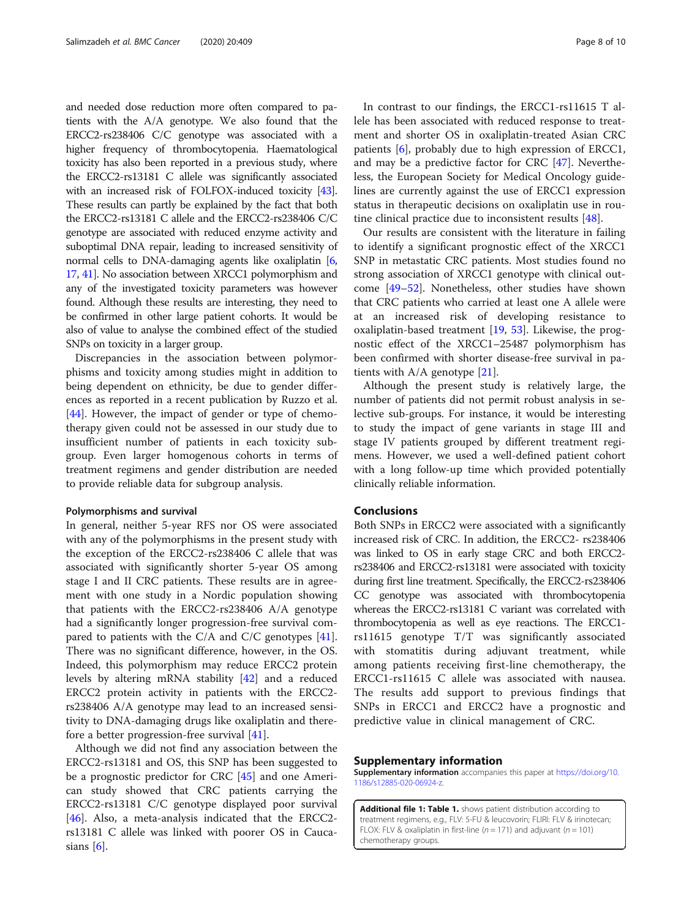and needed dose reduction more often compared to patients with the A/A genotype. We also found that the ERCC2-rs238406 C/C genotype was associated with a higher frequency of thrombocytopenia. Haematological toxicity has also been reported in a previous study, where the ERCC2-rs13181 C allele was significantly associated with an increased risk of FOLFOX-induced toxicity [\[43](#page-9-0)]. These results can partly be explained by the fact that both the ERCC2-rs13181 C allele and the ERCC2-rs238406 C/C genotype are associated with reduced enzyme activity and suboptimal DNA repair, leading to increased sensitivity of normal cells to DNA-damaging agents like oxaliplatin [[6](#page-8-0), [17](#page-8-0), [41](#page-9-0)]. No association between XRCC1 polymorphism and any of the investigated toxicity parameters was however found. Although these results are interesting, they need to be confirmed in other large patient cohorts. It would be also of value to analyse the combined effect of the studied SNPs on toxicity in a larger group.

Discrepancies in the association between polymorphisms and toxicity among studies might in addition to being dependent on ethnicity, be due to gender differences as reported in a recent publication by Ruzzo et al. [[44\]](#page-9-0). However, the impact of gender or type of chemotherapy given could not be assessed in our study due to insufficient number of patients in each toxicity subgroup. Even larger homogenous cohorts in terms of treatment regimens and gender distribution are needed to provide reliable data for subgroup analysis.

## Polymorphisms and survival

In general, neither 5-year RFS nor OS were associated with any of the polymorphisms in the present study with the exception of the ERCC2-rs238406 C allele that was associated with significantly shorter 5-year OS among stage I and II CRC patients. These results are in agreement with one study in a Nordic population showing that patients with the ERCC2-rs238406 A/A genotype had a significantly longer progression-free survival compared to patients with the C/A and C/C genotypes [\[41](#page-9-0)]. There was no significant difference, however, in the OS. Indeed, this polymorphism may reduce ERCC2 protein levels by altering mRNA stability [\[42](#page-9-0)] and a reduced ERCC2 protein activity in patients with the ERCC2 rs238406 A/A genotype may lead to an increased sensitivity to DNA-damaging drugs like oxaliplatin and therefore a better progression-free survival [[41](#page-9-0)].

Although we did not find any association between the ERCC2-rs13181 and OS, this SNP has been suggested to be a prognostic predictor for CRC [\[45](#page-9-0)] and one American study showed that CRC patients carrying the ERCC2-rs13181 C/C genotype displayed poor survival [[46\]](#page-9-0). Also, a meta-analysis indicated that the ERCC2 rs13181 C allele was linked with poorer OS in Caucasians  $[6]$  $[6]$ .

In contrast to our findings, the ERCC1-rs11615 T allele has been associated with reduced response to treatment and shorter OS in oxaliplatin-treated Asian CRC patients [[6](#page-8-0)], probably due to high expression of ERCC1, and may be a predictive factor for CRC [[47\]](#page-9-0). Nevertheless, the European Society for Medical Oncology guidelines are currently against the use of ERCC1 expression status in therapeutic decisions on oxaliplatin use in routine clinical practice due to inconsistent results [\[48\]](#page-9-0).

Our results are consistent with the literature in failing to identify a significant prognostic effect of the XRCC1 SNP in metastatic CRC patients. Most studies found no strong association of XRCC1 genotype with clinical outcome [\[49](#page-9-0)–[52\]](#page-9-0). Nonetheless, other studies have shown that CRC patients who carried at least one A allele were at an increased risk of developing resistance to oxaliplatin-based treatment [\[19](#page-8-0), [53\]](#page-9-0). Likewise, the prognostic effect of the XRCC1–25487 polymorphism has been confirmed with shorter disease-free survival in patients with A/A genotype [\[21](#page-8-0)].

Although the present study is relatively large, the number of patients did not permit robust analysis in selective sub-groups. For instance, it would be interesting to study the impact of gene variants in stage III and stage IV patients grouped by different treatment regimens. However, we used a well-defined patient cohort with a long follow-up time which provided potentially clinically reliable information.

#### Conclusions

Both SNPs in ERCC2 were associated with a significantly increased risk of CRC. In addition, the ERCC2- rs238406 was linked to OS in early stage CRC and both ERCC2 rs238406 and ERCC2-rs13181 were associated with toxicity during first line treatment. Specifically, the ERCC2-rs238406 CC genotype was associated with thrombocytopenia whereas the ERCC2-rs13181 C variant was correlated with thrombocytopenia as well as eye reactions. The ERCC1 rs11615 genotype T/T was significantly associated with stomatitis during adjuvant treatment, while among patients receiving first-line chemotherapy, the ERCC1-rs11615 C allele was associated with nausea. The results add support to previous findings that SNPs in ERCC1 and ERCC2 have a prognostic and predictive value in clinical management of CRC.

#### Supplementary information

Supplementary information accompanies this paper at [https://doi.org/10.](https://doi.org/10.1186/s12885-020-06924-z) [1186/s12885-020-06924-z.](https://doi.org/10.1186/s12885-020-06924-z)

Additional file 1: Table 1. shows patient distribution according to treatment regimens, e.g., FLV: 5-FU & leucovorin; FLIRI: FLV & irinotecan; FLOX: FLV & oxaliplatin in first-line ( $n = 171$ ) and adjuvant ( $n = 101$ ) chemotherapy groups.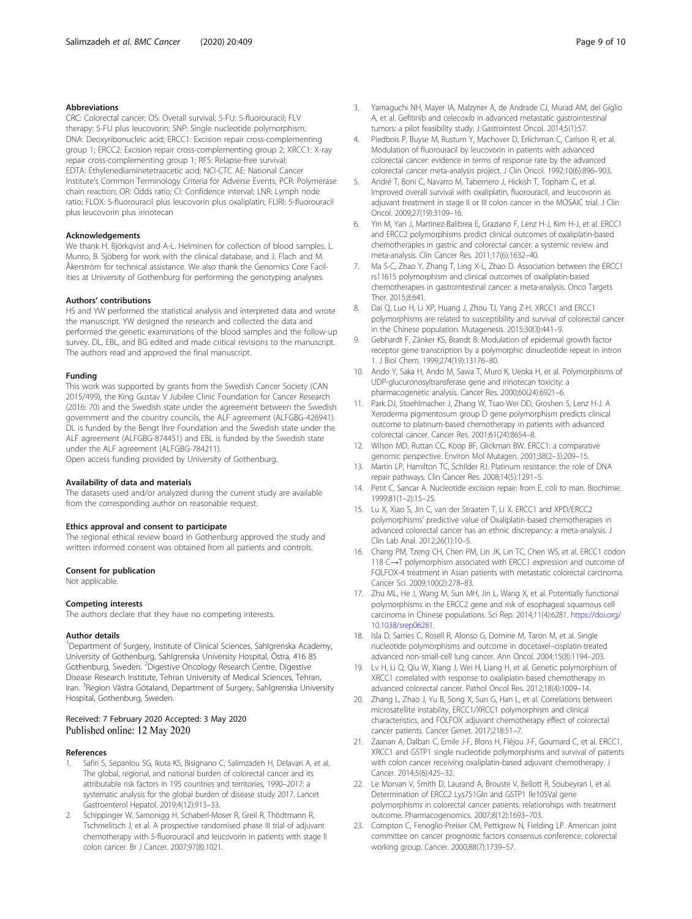#### <span id="page-8-0"></span>Abbreviations

CRC: Colorectal cancer; OS: Overall survival; 5-FU: 5-fluorouracil; FLV therapy: 5-FU plus leucovorin; SNP: Single nucleotide polymorphism; DNA: Deoxyribonucleic acid; ERCC1: Excision repair cross-complementing group 1; ERCC2: Excision repair cross-complementing group 2; XRCC1: X-ray repair cross-complementing group 1; RFS: Relapse-free survival; EDTA: Ethylenediaminetetraacetic acid; NCI-CTC AE: National Cancer Institute's Common Terminology Criteria for Adverse Events; PCR: Polymerase chain reaction; OR: Odds ratio; CI: Confidence interval; LNR: Lymph node ratio; FLOX: 5-fluorouracil plus leucovorin plus oxaliplatin; FLIRI: 5-fluorouracil plus leucovorin plus irinotecan

#### Acknowledgements

We thank H. Björkqvist and A-L. Helminen for collection of blood samples, L. Munro, B. Sjöberg for work with the clinical database, and J. Flach and M. Åkerström for technical assistance. We also thank the Genomics Core Facilities at University of Gothenburg for performing the genotyping analyses.

#### Authors' contributions

HS and YW performed the statistical analysis and interpreted data and wrote the manuscript. YW designed the research and collected the data and performed the genetic examinations of the blood samples and the follow-up survey. DL, EBL, and BG edited and made critical revisions to the manuscript. The authors read and approved the final manuscript.

#### Funding

This work was supported by grants from the Swedish Cancer Society (CAN 2015/499), the King Gustav V Jubilee Clinic Foundation for Cancer Research (2016: 70) and the Swedish state under the agreement between the Swedish government and the country councils, the ALF agreement (ALFGBG-426941). DL is funded by the Bengt Ihre Foundation and the Swedish state under the ALF agreement (ALFGBG-874451) and EBL is funded by the Swedish state under the ALF agreement (ALFGBG-784211).

Open access funding provided by University of Gothenburg.

#### Availability of data and materials

The datasets used and/or analyzed during the current study are available from the corresponding author on reasonable request.

#### Ethics approval and consent to participate

The regional ethical review board in Gothenburg approved the study and written informed consent was obtained from all patients and controls.

#### Consent for publication

Not applicable.

#### Competing interests

The authors declare that they have no competing interests.

#### Author details

<sup>1</sup>Department of Surgery, Institute of Clinical Sciences, Sahlgrenska Academy, University of Gothenburg, Sahlgrenska University Hospital, Östra, 416 85 Gothenburg, Sweden. <sup>2</sup>Digestive Oncology Research Centre, Digestive Disease Research Institute, Tehran University of Medical Sciences, Tehran, Iran. <sup>3</sup>Region Västra Götaland, Department of Surgery, Sahlgrenska University Hospital, Gothenburg, Sweden.

#### Received: 7 February 2020 Accepted: 3 May 2020 Published online: 12 May 2020

#### References

- 1. Safiri S, Sepanlou SG, Ikuta KS, Bisignano C, Salimzadeh H, Delavari A, et al. The global, regional, and national burden of colorectal cancer and its attributable risk factors in 195 countries and territories, 1990–2017: a systematic analysis for the global burden of disease study 2017. Lancet Gastroenterol Hepatol. 2019;4(12):913–33.
- 2. Schippinger W, Samonigg H, Schaberl-Moser R, Greil R, Thödtmann R, Tschmelitsch J, et al. A prospective randomised phase III trial of adjuvant chemotherapy with 5-fluorouracil and leucovorin in patients with stage II colon cancer. Br J Cancer. 2007;97(8):1021.
- 3. Yamaguchi NH, Mayer IA, Malzyner A, de Andrade CJ, Murad AM, del Giglio A, et al. Gefitinib and celecoxib in advanced metastatic gastrointestinal tumors: a pilot feasibility study. J Gastrointest Oncol. 2014;5(1):57.
- Piedbois P, Buyse M, Rustum Y, Machover D, Erlichman C, Carlson R, et al. Modulation of fluorouracil by leucovorin in patients with advanced colorectal cancer: evidence in terms of response rate by the advanced colorectal cancer meta-analysis project. J Clin Oncol. 1992;10(6):896–903.
- 5. André T, Boni C, Navarro M, Tabernero J, Hickish T, Topham C, et al. Improved overall survival with oxaliplatin, fluorouracil, and leucovorin as adjuvant treatment in stage II or III colon cancer in the MOSAIC trial. J Clin Oncol. 2009;27(19):3109–16.
- 6. Yin M, Yan J, Martinez-Balibrea E, Graziano F, Lenz H-J, Kim H-J, et al. ERCC1 and ERCC2 polymorphisms predict clinical outcomes of oxaliplatin-based chemotherapies in gastric and colorectal cancer: a systemic review and meta-analysis. Clin Cancer Res. 2011;17(6):1632–40.
- 7. Ma S-C, Zhao Y, Zhang T, Ling X-L, Zhao D. Association between the ERCC1 rs11615 polymorphism and clinical outcomes of oxaliplatin-based chemotherapies in gastrointestinal cancer: a meta-analysis. Onco Targets Ther. 2015;8:641.
- 8. Dai Q, Luo H, Li XP, Huang J, Zhou TJ, Yang Z-H. XRCC1 and ERCC1 polymorphisms are related to susceptibility and survival of colorectal cancer in the Chinese population. Mutagenesis. 2015;30(3):441–9.
- 9. Gebhardt F, Zänker KS, Brandt B. Modulation of epidermal growth factor receptor gene transcription by a polymorphic dinucleotide repeat in intron 1. J Biol Chem. 1999;274(19):13176–80.
- 10. Ando Y, Saka H, Ando M, Sawa T, Muro K, Ueoka H, et al. Polymorphisms of UDP-glucuronosyltransferase gene and irinotecan toxicity: a pharmacogenetic analysis. Cancer Res. 2000;60(24):6921–6.
- 11. Park DJ, Stoehlmacher J, Zhang W, Tsao-Wei DD, Groshen S, Lenz H-J. A Xeroderma pigmentosum group D gene polymorphism predicts clinical outcome to platinum-based chemotherapy in patients with advanced colorectal cancer. Cancer Res. 2001;61(24):8654–8.
- 12. Wilson MD, Ruttan CC, Koop BF, Glickman BW. ERCC1: a comparative genomic perspective. Environ Mol Mutagen. 2001;38(2–3):209–15.
- 13. Martin LP, Hamilton TC, Schilder RJ. Platinum resistance: the role of DNA repair pathways. Clin Cancer Res. 2008;14(5):1291–5.
- 14. Petit C, Sancar A. Nucleotide excision repair: from E. coli to man. Biochimie. 1999;81(1–2):15–25.
- 15. Lu X, Xiao S, Jin C, van der Straaten T, Li X. ERCC1 and XPD/ERCC2 polymorphisms' predictive value of Oxaliplatin-based chemotherapies in advanced colorectal cancer has an ethnic discrepancy: a meta-analysis. J Clin Lab Anal. 2012;26(1):10–5.
- 16. Chang PM, Tzeng CH, Chen PM, Lin JK, Lin TC, Chen WS, et al. ERCC1 codon 118 C→T polymorphism associated with ERCC1 expression and outcome of FOLFOX-4 treatment in Asian patients with metastatic colorectal carcinoma. Cancer Sci. 2009;100(2):278–83.
- 17. Zhu ML, He J, Wang M, Sun MH, Jin L, Wang X, et al. Potentially functional polymorphisms in the ERCC2 gene and risk of esophageal squamous cell carcinoma in Chinese populations. Sci Rep. 2014;11(4):6281. [https://doi.org/](https://doi.org/10.1038/srep06281) [10.1038/srep06281.](https://doi.org/10.1038/srep06281)
- 18. Isla D, Sarries C, Rosell R, Alonso G, Domine M, Taron M, et al. Single nucleotide polymorphisms and outcome in docetaxel–cisplatin-treated advanced non-small-cell lung cancer. Ann Oncol. 2004;15(8):1194–203.
- 19. Lv H, Li Q, Qiu W, Xiang J, Wei H, Liang H, et al. Genetic polymorphism of XRCC1 correlated with response to oxaliplatin-based chemotherapy in advanced colorectal cancer. Pathol Oncol Res. 2012;18(4):1009–14.
- 20. Zhang L, Zhao J, Yu B, Song X, Sun G, Han L, et al. Correlations between microsatellite instability, ERCC1/XRCC1 polymorphism and clinical characteristics, and FOLFOX adjuvant chemotherapy effect of colorectal cancer patients. Cancer Genet. 2017;218:51–7.
- 21. Zaanan A, Dalban C, Emile J-F, Blons H, Fléjou J-F, Goumard C, et al. ERCC1, XRCC1 and GSTP1 single nucleotide polymorphisms and survival of patients with colon cancer receiving oxaliplatin-based adjuvant chemotherapy. J Cancer. 2014;5(6):425–32.
- 22. Le Morvan V, Smith D, Laurand A, Brouste V, Bellott R, Soubeyran I, et al. Determination of ERCC2 Lys751Gln and GSTP1 Ile105Val gene polymorphisms in colorectal cancer patients: relationships with treatment outcome. Pharmacogenomics. 2007;8(12):1693–703.
- 23. Compton C, Fenoglio-Preiser CM, Pettigrew N, Fielding LP. American joint committee on cancer prognostic factors consensus conference: colorectal working group. Cancer. 2000;88(7):1739–57.